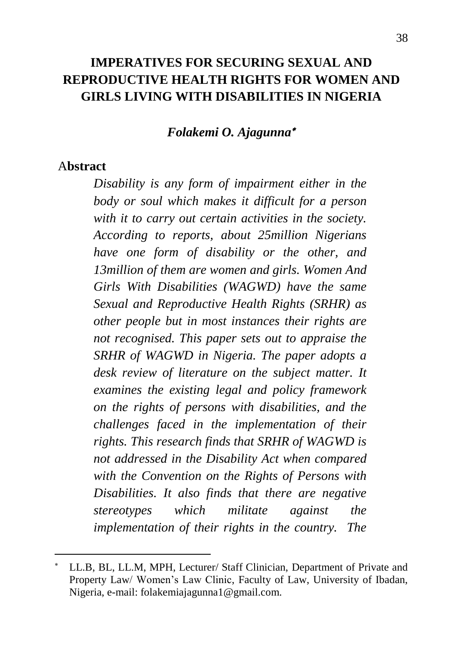### **IMPERATIVES FOR SECURING SEXUAL AND REPRODUCTIVE HEALTH RIGHTS FOR WOMEN AND GIRLS LIVING WITH DISABILITIES IN NIGERIA**

#### *Folakemi O. Ajagunna*

#### A**bstract**

 $\ddot{\phantom{a}}$ 

*Disability is any form of impairment either in the body or soul which makes it difficult for a person with it to carry out certain activities in the society. According to reports, about 25million Nigerians have one form of disability or the other, and 13million of them are women and girls. Women And Girls With Disabilities (WAGWD) have the same Sexual and Reproductive Health Rights (SRHR) as other people but in most instances their rights are not recognised. This paper sets out to appraise the SRHR of WAGWD in Nigeria. The paper adopts a desk review of literature on the subject matter. It examines the existing legal and policy framework on the rights of persons with disabilities, and the challenges faced in the implementation of their rights. This research finds that SRHR of WAGWD is not addressed in the Disability Act when compared with the Convention on the Rights of Persons with Disabilities. It also finds that there are negative stereotypes which militate against the implementation of their rights in the country. The* 

LL.B, BL, LL.M, MPH, Lecturer/ Staff Clinician, Department of Private and Property Law/ Women's Law Clinic, Faculty of Law, University of Ibadan, Nigeria, e-mail: folakemiajagunna1@gmail.com.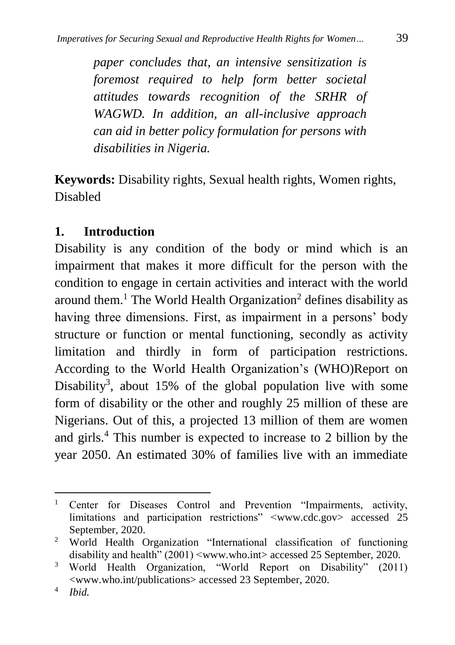*paper concludes that, an intensive sensitization is foremost required to help form better societal attitudes towards recognition of the SRHR of WAGWD. In addition, an all-inclusive approach can aid in better policy formulation for persons with disabilities in Nigeria.*

**Keywords:** Disability rights, Sexual health rights, Women rights, Disabled

### **1. Introduction**

Disability is any condition of the body or mind which is an impairment that makes it more difficult for the person with the condition to engage in certain activities and interact with the world around them.<sup>1</sup> The World Health Organization<sup>2</sup> defines disability as having three dimensions. First, as impairment in a persons' body structure or function or mental functioning, secondly as activity limitation and thirdly in form of participation restrictions. According to the World Health Organization's (WHO)Report on Disability<sup>3</sup>, about 15% of the global population live with some form of disability or the other and roughly 25 million of these are Nigerians. Out of this, a projected 13 million of them are women and girls. <sup>4</sup> This number is expected to increase to 2 billion by the year 2050. An estimated 30% of families live with an immediate

<sup>&</sup>lt;sup>1</sup> Center for Diseases Control and Prevention "Impairments, activity, limitations and participation restrictions" [<www.cdc.gov>](http://www.cdc.gov/) accessed 25 September, 2020.

<sup>&</sup>lt;sup>2</sup> World Health Organization "International classification of functioning disability and health" (2001) [<www.who.int>](http://www.who.int/) accessed 25 September, 2020.

<sup>3</sup> World Health Organization, "World Report on Disability" (2011) <www.who.int/publications> accessed 23 September, 2020.

<sup>4</sup> *Ibid.*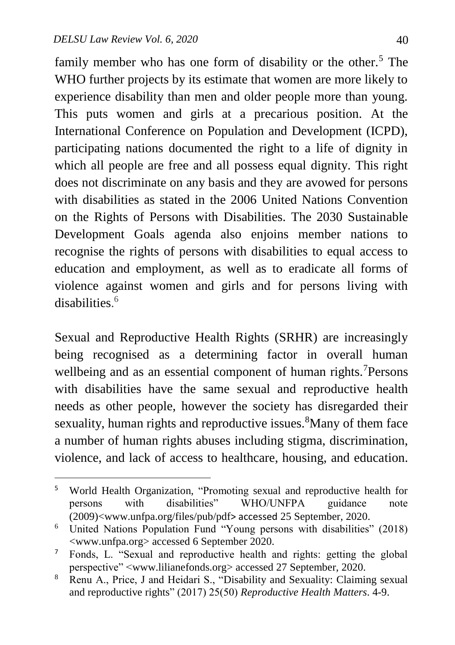$\overline{a}$ 

family member who has one form of disability or the other.<sup>5</sup> The WHO further projects by its estimate that women are more likely to experience disability than men and older people more than young. This puts women and girls at a precarious position. At the International Conference on Population and Development (ICPD), participating nations documented the right to a life of dignity in which all people are free and all possess equal dignity. This right does not discriminate on any basis and they are avowed for persons with disabilities as stated in the 2006 United Nations Convention on the Rights of Persons with Disabilities. The 2030 Sustainable Development Goals agenda also enjoins member nations to recognise the rights of persons with disabilities to equal access to education and employment, as well as to eradicate all forms of violence against women and girls and for persons living with disabilities. 6

Sexual and Reproductive Health Rights (SRHR) are increasingly being recognised as a determining factor in overall human wellbeing and as an essential component of human rights.<sup>7</sup>Persons with disabilities have the same sexual and reproductive health needs as other people, however the society has disregarded their sexuality, human rights and reproductive issues.<sup>8</sup>Many of them face a number of [human rights abuses](https://www.iiste.org/Journals/index.php/JLPG/article/viewFile/39027/40128) including stigma, discrimination, violence, and lack of access to healthcare, housing, and education.

<sup>&</sup>lt;sup>5</sup> World Health Organization, "Promoting sexual and reproductive health for persons with disabilities" WHO/UNFPA guidance note (2009)[<www.unfpa.org/files/pub/pdf](http://www.unfpa.org/files/pub/pdf)> accessed 25 September, 2020.

<sup>6</sup> United Nations Population Fund "Young persons with disabilities" (2018) <www.unfpa.org> accessed 6 September 2020.

<sup>7</sup> Fonds, L. "Sexual and reproductive health and rights: getting the global perspective" [<www.lilianefonds.org>](http://www.lilianefonds.org/) accessed 27 September, 2020.

<sup>&</sup>lt;sup>8</sup> Renu A., Price, J and Heidari S., "Disability and Sexuality: Claiming sexual and reproductive rights" (2017) 25(50) *Reproductive Health Matters*. 4-9.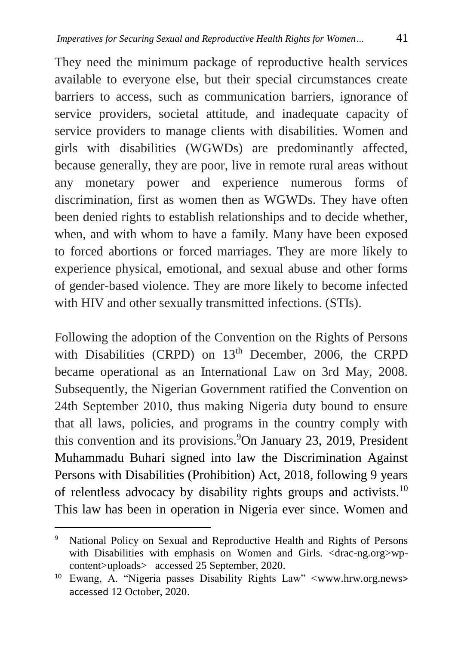They need the minimum package of reproductive health services available to everyone else, but their special circumstances create barriers to access, such as communication barriers, ignorance of service providers, societal attitude, and inadequate capacity of service providers to manage clients with disabilities. Women and girls with disabilities (WGWDs) are predominantly affected, because generally, they are poor, live in remote rural areas without any monetary power and experience numerous forms of discrimination, first as women then as WGWDs. They have often been denied rights to establish relationships and to decide whether, when, and with whom to have a family. Many have been exposed to forced abortions or forced marriages. They are more likely to experience physical, emotional, and sexual abuse and other forms of gender-based violence. They are more likely to become infected with HIV and other sexually transmitted infections. (STIs).

Following the adoption of the Convention on the Rights of Persons with Disabilities (CRPD) on  $13<sup>th</sup>$  December, 2006, the CRPD became operational as an International Law on 3rd May, 2008. Subsequently, the Nigerian Government ratified the Convention on 24th September 2010, thus making Nigeria duty bound to ensure that all laws, policies, and programs in the country comply with this convention and its provisions.<sup>9</sup>On January 23, 2019, President Muhammadu Buhari signed into law the [Discrimination Against](https://drive.google.com/file/d/12459t6medwbLvSunXgk6o9x9npnXG6W4/view)  [Persons with Disabilities \(Prohibition\) Act, 2018,](https://drive.google.com/file/d/12459t6medwbLvSunXgk6o9x9npnXG6W4/view) following 9 years of [relentless advocacy](https://www.vanguardngr.com/2018/12/2019-well-vote-against-politicians-opposed-to-disability-bill-jonapwd/) by disability rights groups and activists.<sup>10</sup> This law has been in operation in Nigeria ever since. Women and

<sup>&</sup>lt;sup>9</sup> National Policy on Sexual and Reproductive Health and Rights of Persons with Disabilities with emphasis on Women and Girls. <drac-ng.org>wpcontent>uploads> accessed 25 September, 2020.

<sup>10</sup> Ewang, A. "Nigeria passes Disability Rights Law" [<www.hrw.org.news](http://www.hrw.org.news/)> accessed 12 October, 2020.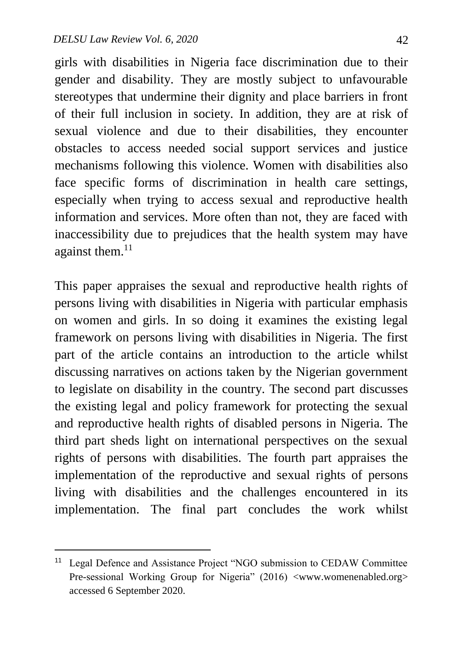$\ddot{\phantom{a}}$ 

girls with disabilities in Nigeria face discrimination due to their gender and disability. They are mostly subject to unfavourable stereotypes that undermine their dignity and place barriers in front of their full inclusion in society. In addition, they are at risk of sexual violence and due to their disabilities, they encounter obstacles to access needed social support services and justice mechanisms following this violence. Women with disabilities also face specific forms of discrimination in health care settings, especially when trying to access sexual and reproductive health information and services. More often than not, they are faced with inaccessibility due to prejudices that the health system may have against them.<sup>11</sup>

This paper appraises the sexual and reproductive health rights of persons living with disabilities in Nigeria with particular emphasis on women and girls. In so doing it examines the existing legal framework on persons living with disabilities in Nigeria. The first part of the article contains an introduction to the article whilst discussing narratives on actions taken by the Nigerian government to legislate on disability in the country. The second part discusses the existing legal and policy framework for protecting the sexual and reproductive health rights of disabled persons in Nigeria. The third part sheds light on international perspectives on the sexual rights of persons with disabilities. The fourth part appraises the implementation of the reproductive and sexual rights of persons living with disabilities and the challenges encountered in its implementation. The final part concludes the work whilst

<sup>&</sup>lt;sup>11</sup> Legal Defence and Assistance Project "NGO submission to CEDAW Committee Pre-sessional Working Group for Nigeria" (2016) <www.womenenabled.org> accessed 6 September 2020.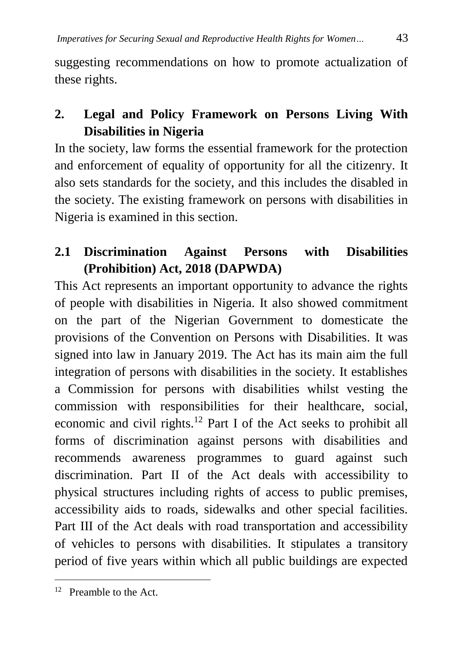suggesting recommendations on how to promote actualization of these rights.

# **2. Legal and Policy Framework on Persons Living With Disabilities in Nigeria**

In the society, law forms the essential framework for the protection and enforcement of equality of opportunity for all the citizenry. It also sets standards for the society, and this includes the disabled in the society. The existing framework on persons with disabilities in Nigeria is examined in this section.

## **2.1 [Discrimination Against Persons with Disabilities](https://drive.google.com/file/d/12459t6medwbLvSunXgk6o9x9npnXG6W4/view)  [\(Prohibition\) Act,](https://drive.google.com/file/d/12459t6medwbLvSunXgk6o9x9npnXG6W4/view) 2018 (DAPWDA)**

This Act represents an important opportunity to advance the rights of people with disabilities in Nigeria. It also showed commitment on the part of the Nigerian Government to domesticate the provisions of the Convention on Persons with Disabilities. It was signed into law in January 2019. The Act has its main aim the full integration of persons with disabilities in the society. It establishes a Commission for persons with disabilities whilst vesting the commission with responsibilities for their healthcare, social, economic and civil rights.<sup>12</sup> Part I of the Act seeks to prohibit all forms of discrimination against persons with disabilities and recommends awareness programmes to guard against such discrimination. Part II of the Act deals with accessibility to physical structures including rights of access to public premises, accessibility aids to roads, sidewalks and other special facilities. Part III of the Act deals with road transportation and accessibility of vehicles to persons with disabilities. It stipulates a transitory period of five years within which all public buildings are expected

 $\overline{a}$ <sup>12</sup> Preamble to the Act.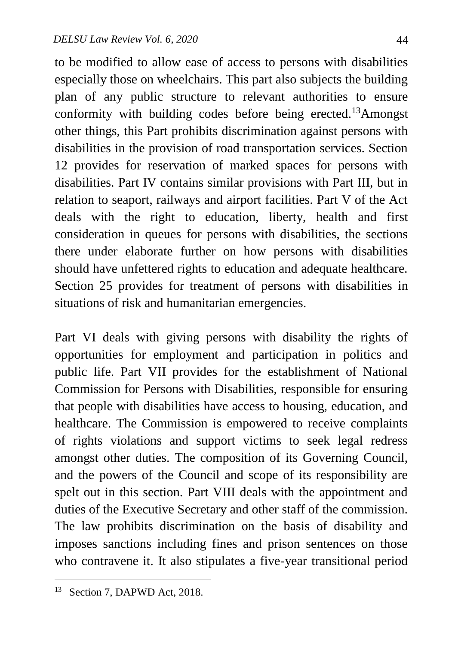to be modified to allow ease of access to persons with disabilities especially those on wheelchairs. This part also subjects the building plan of any public structure to relevant authorities to ensure conformity with building codes before being erected.<sup>13</sup>Amongst other things, this Part prohibits discrimination against persons with disabilities in the provision of road transportation services. Section 12 provides for reservation of marked spaces for persons with disabilities. Part IV contains similar provisions with Part III, but in relation to seaport, railways and airport facilities. Part V of the Act deals with the right to education, liberty, health and first consideration in queues for persons with disabilities, the sections there under elaborate further on how persons with disabilities should have unfettered rights to education and adequate healthcare. Section 25 provides for treatment of persons with disabilities in situations of risk and humanitarian emergencies.

Part VI deals with giving persons with disability the rights of opportunities for employment and participation in politics and public life. Part VII provides for the establishment of National Commission for Persons with Disabilities, responsible for ensuring that people with disabilities have access to housing, education, and healthcare. The Commission is empowered to receive complaints of rights violations and support victims to seek legal redress amongst other duties. The composition of its Governing Council, and the powers of the Council and scope of its responsibility are spelt out in this section. Part VIII deals with the appointment and duties of the Executive Secretary and other staff of the commission. The law prohibits discrimination on the basis of disability and imposes sanctions including fines and prison sentences on those who contravene it. It also stipulates a five-year transitional period

<sup>&</sup>lt;sup>13</sup> Section 7, DAPWD Act, 2018.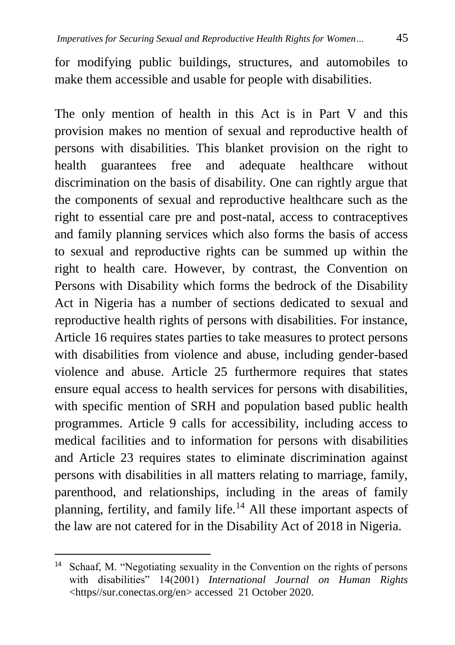for modifying public buildings, structures, and automobiles to make them accessible and usable for people with disabilities.

The only mention of health in this Act is in Part V and this provision makes no mention of sexual and reproductive health of persons with disabilities. This blanket provision on the right to health guarantees free and adequate healthcare without discrimination on the basis of disability. One can rightly argue that the components of sexual and reproductive healthcare such as the right to essential care pre and post-natal, access to contraceptives and family planning services which also forms the basis of access to sexual and reproductive rights can be summed up within the right to health care. However, by contrast, the Convention on Persons with Disability which forms the bedrock of the Disability Act in Nigeria has a number of sections dedicated to sexual and reproductive health rights of persons with disabilities. For instance, Article 16 requires states parties to take measures to protect persons with disabilities from violence and abuse, including gender-based violence and abuse. Article 25 furthermore requires that states ensure equal access to health services for persons with disabilities, with specific mention of SRH and population based public health programmes. Article 9 calls for accessibility, including access to medical facilities and to information for persons with disabilities and Article 23 requires states to eliminate discrimination against persons with disabilities in all matters relating to marriage, family, parenthood, and relationships, including in the areas of family planning, fertility, and family life.<sup>14</sup> All these important aspects of the law are not catered for in the Disability Act of 2018 in Nigeria.

<sup>&</sup>lt;sup>14</sup> Schaaf, M. "Negotiating sexuality in the Convention on the rights of persons with disabilities" 14(2001) *International Journal on Human Rights*  <https//sur.conectas.org/en> accessed 21 October 2020.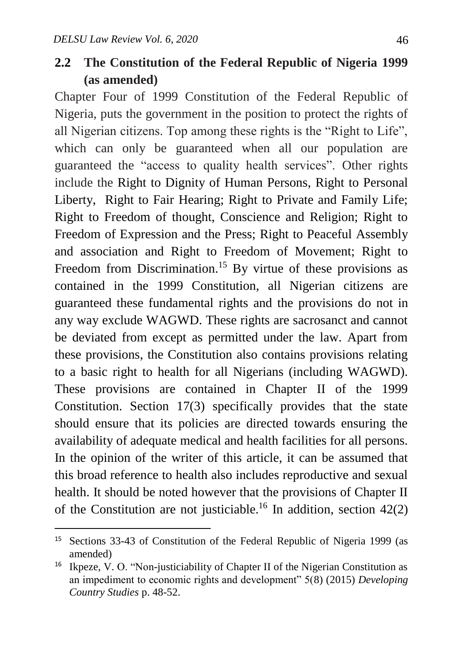$\ddot{\phantom{a}}$ 

### **2.2 The Constitution of the Federal Republic of Nigeria 1999 (as amended)**

Chapter Four of 1999 Constitution of the Federal Republic of Nigeria, puts the government in the position to protect the rights of all Nigerian citizens. Top among these rights is the "Right to Life", which can only be guaranteed when all our population are guaranteed the "access to quality health services". Other rights include the Right to Dignity of Human Persons, Right to Personal Liberty, Right to Fair Hearing; Right to Private and Family Life; Right to Freedom of thought, Conscience and Religion; Right to Freedom of Expression and the Press; Right to Peaceful Assembly and association and Right to Freedom of Movement; Right to Freedom from Discrimination.<sup>15</sup> By virtue of these provisions as contained in the 1999 Constitution, all Nigerian citizens are guaranteed these fundamental rights and the provisions do not in any way exclude WAGWD. These rights are sacrosanct and cannot be deviated from except as permitted under the law. Apart from these provisions, the Constitution also contains provisions relating to a basic right to health for all Nigerians (including WAGWD). These provisions are contained in Chapter II of the 1999 Constitution. Section 17(3) specifically provides that the state should ensure that its policies are directed towards ensuring the availability of adequate medical and health facilities for all persons. In the opinion of the writer of this article, it can be assumed that this broad reference to health also includes reproductive and sexual health. It should be noted however that the provisions of Chapter II of the Constitution are not justiciable.<sup>16</sup> In addition, section  $42(2)$ 

<sup>15</sup> Sections 33-43 of Constitution of the Federal Republic of Nigeria 1999 (as amended)

<sup>&</sup>lt;sup>16</sup> Ikpeze, V. O. "Non-justiciability of Chapter II of the Nigerian Constitution as an impediment to economic rights and development" 5(8) (2015) *Developing Country Studies* p. 48-52.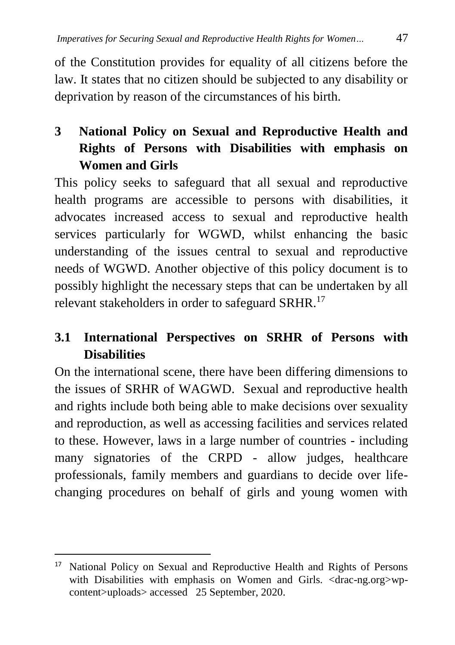of the Constitution provides for equality of all citizens before the law. It states that no citizen should be subjected to any disability or deprivation by reason of the circumstances of his birth.

# **3 National Policy on Sexual and Reproductive Health and Rights of Persons with Disabilities with emphasis on Women and Girls**

This policy seeks to safeguard that all sexual and reproductive health programs are accessible to persons with disabilities, it advocates increased access to sexual and reproductive health services particularly for WGWD, whilst enhancing the basic understanding of the issues central to sexual and reproductive needs of WGWD. Another objective of this policy document is to possibly highlight the necessary steps that can be undertaken by all relevant stakeholders in order to safeguard SRHR.<sup>17</sup>

## **3.1 International Perspectives on SRHR of Persons with Disabilities**

On the international scene, there have been differing dimensions to the issues of SRHR of WAGWD. Sexual and reproductive health and rights include both being able to make decisions over sexuality and reproduction, as well as accessing facilities and services related to these. However, laws in a large number of countries - including many signatories of the CRPD - allow judges, healthcare professionals, family members and guardians to decide over lifechanging procedures on behalf of girls and young women with

<sup>&</sup>lt;sup>17</sup> National Policy on Sexual and Reproductive Health and Rights of Persons with Disabilities with emphasis on Women and Girls. <drac-ng.org>wpcontent>uploads> accessed 25 September, 2020.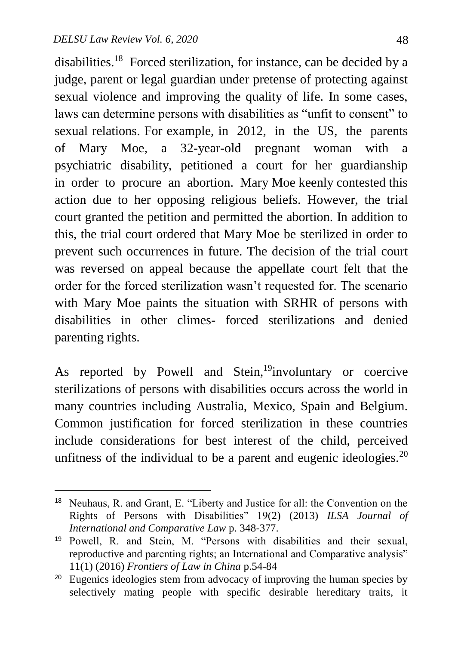1

disabilities.<sup>18</sup> Forced sterilization, for instance, can be decided by a judge, parent or legal guardian under pretense of protecting against sexual violence and improving the quality of life. In some cases, laws can determine persons with disabilities as "unfit to consent" to sexual relations. For example, in 2012, in the US, the parents of Mary Moe, a 32-year-old pregnant woman with a psychiatric disability, petitioned a court for her guardianship in order to procure an abortion. Mary Moe keenly contested this action due to her opposing religious beliefs. However, the trial court granted the petition and permitted the abortion. In addition to this, the trial court ordered that Mary Moe be sterilized in order to prevent such occurrences in future. The decision of the trial court was reversed on appeal because the appellate court felt that the order for the forced sterilization wasn't requested for. The scenario with Mary Moe paints the situation with SRHR of persons with disabilities in other climes- forced sterilizations and denied parenting rights.

As reported by Powell and Stein,<sup>19</sup>involuntary or coercive sterilizations of persons with disabilities occurs across the world in many countries including Australia, Mexico, Spain and Belgium. Common justification for forced sterilization in these countries include considerations for best interest of the child, perceived unfitness of the individual to be a parent and eugenic ideologies.<sup>20</sup>

<sup>18</sup> Neuhaus, R. and Grant, E. "Liberty and Justice for all: the Convention on the Rights of Persons with Disabilities" 19(2) (2013) *ILSA Journal of International and Comparative Law* p. 348-377.

<sup>19</sup> Powell, R. and Stein, M. "Persons with disabilities and their sexual, reproductive and parenting rights; an International and Comparative analysis" 11(1) (2016) *Frontiers of Law in China* p.54-84

<sup>&</sup>lt;sup>20</sup> Eugenics ideologies stem from advocacy of improving the human species by selectively mating people with specific desirable hereditary traits, it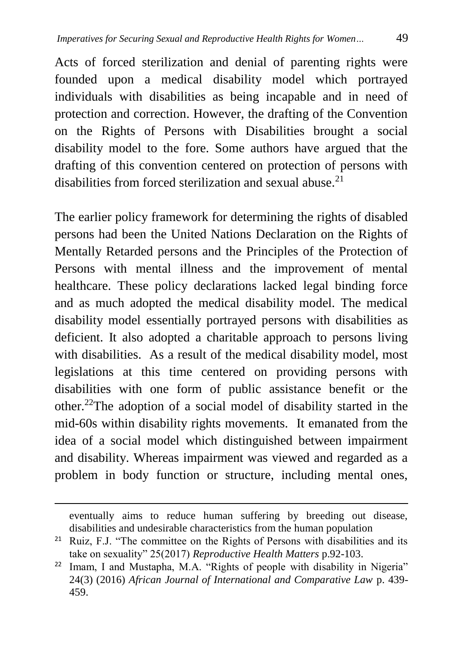Acts of forced sterilization and denial of parenting rights were founded upon a medical disability model which portrayed individuals with disabilities as being incapable and in need of protection and correction. However, the drafting of the Convention on the Rights of Persons with Disabilities brought a social disability model to the fore. Some authors have argued that the drafting of this convention centered on protection of persons with disabilities from forced sterilization and sexual abuse.<sup>21</sup>

The earlier policy framework for determining the rights of disabled persons had been the United Nations Declaration on the Rights of Mentally Retarded persons and the Principles of the Protection of Persons with mental illness and the improvement of mental healthcare. These policy declarations lacked legal binding force and as much adopted the medical disability model. The medical disability model essentially portrayed persons with disabilities as deficient. It also adopted a charitable approach to persons living with disabilities. As a result of the medical disability model, most legislations at this time centered on providing persons with disabilities with one form of public assistance benefit or the other.<sup>22</sup>The adoption of a social model of disability started in the mid-60s within disability rights movements. It emanated from the idea of a social model which distinguished between impairment and disability. Whereas impairment was viewed and regarded as a problem in body function or structure, including mental ones,

eventually aims to reduce human suffering by breeding out disease, disabilities and undesirable characteristics from the human population

<sup>&</sup>lt;sup>21</sup> Ruiz, F.J. "The committee on the Rights of Persons with disabilities and its take on sexuality" 25(2017) *Reproductive Health Matters* p.92-103.

<sup>&</sup>lt;sup>22</sup> Imam, I and Mustapha, M.A. "Rights of people with disability in Nigeria" 24(3) (2016) *African Journal of International and Comparative Law* p. 439- 459.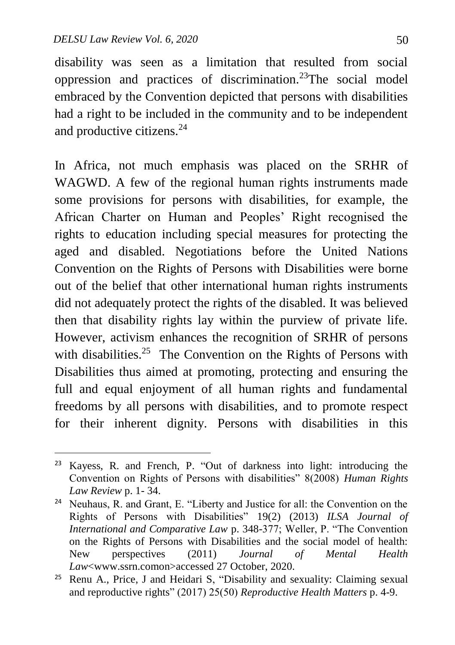1

disability was seen as a limitation that resulted from social oppression and practices of discrimination.<sup>23</sup>The social model embraced by the Convention depicted that persons with disabilities had a right to be included in the community and to be independent and productive citizens.<sup>24</sup>

In Africa, not much emphasis was placed on the SRHR of WAGWD. A few of the regional human rights instruments made some provisions for persons with disabilities, for example, the African Charter on Human and Peoples' Right recognised the rights to education including special measures for protecting the aged and disabled. Negotiations before the United Nations Convention on the Rights of Persons with Disabilities were borne out of the belief that other international human rights instruments did not adequately protect the rights of the disabled. It was believed then that disability rights lay within the purview of private life. However, activism enhances the recognition of SRHR of persons with disabilities.<sup>25</sup> The Convention on the Rights of Persons with Disabilities thus aimed at promoting, protecting and ensuring the full and equal enjoyment of all human rights and fundamental freedoms by all persons with disabilities, and to promote respect for their inherent dignity. Persons with disabilities in this

<sup>23</sup> Kayess, R. and French, P. "Out of darkness into light: introducing the Convention on Rights of Persons with disabilities" 8(2008) *Human Rights Law Review* p. 1- 34.

<sup>24</sup> Neuhaus, R. and Grant, E. "Liberty and Justice for all: the Convention on the Rights of Persons with Disabilities" 19(2) (2013) *ILSA Journal of International and Comparative Law* p. 348-377; Weller, P. "The Convention on the Rights of Persons with Disabilities and the social model of health: New perspectives (2011) *Journal of Mental Health Law*[<www.ssrn.como](http://www.ssrn.com/)n>accessed 27 October, 2020.

<sup>25</sup> Renu A., Price, J and Heidari S, "Disability and sexuality: Claiming sexual and reproductive rights" (2017) 25(50) *Reproductive Health Matters* p. 4-9.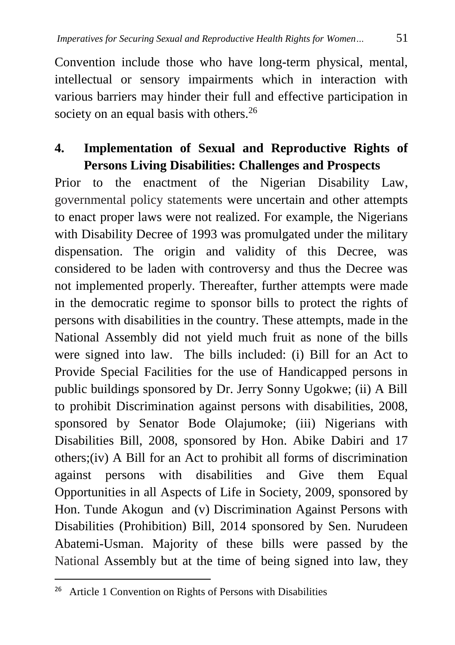Convention include those who have long-term physical, mental, intellectual or sensory impairments which in interaction with various barriers may hinder their full and effective participation in society on an equal basis with others.<sup>26</sup>

### **4. Implementation of Sexual and Reproductive Rights of Persons Living Disabilities: Challenges and Prospects**

Prior to the enactment of the Nigerian Disability Law, governmental policy statements were uncertain and other attempts to enact proper laws were not realized. For example, the Nigerians with Disability Decree of 1993 was promulgated under the military dispensation. The origin and validity of this Decree, was considered to be laden with controversy and thus the Decree was not implemented properly. Thereafter, further attempts were made in the democratic regime to sponsor bills to protect the rights of persons with disabilities in the country. These attempts, made in the National Assembly did not yield much fruit as none of the bills were signed into law. The bills included: (i) Bill for an Act to Provide Special Facilities for the use of Handicapped persons in public buildings sponsored by Dr. Jerry Sonny Ugokwe; (ii) A Bill to prohibit Discrimination against persons with disabilities, 2008, sponsored by Senator Bode Olajumoke; (iii) Nigerians with Disabilities Bill, 2008, sponsored by Hon. Abike Dabiri and 17 others;(iv) A Bill for an Act to prohibit all forms of discrimination against persons with disabilities and Give them Equal Opportunities in all Aspects of Life in Society, 2009, sponsored by Hon. Tunde Akogun and (v) Discrimination Against Persons with Disabilities (Prohibition) Bill, 2014 sponsored by Sen. Nurudeen Abatemi-Usman. Majority of these bills were passed by the National Assembly but at the time of being signed into law, they

<sup>&</sup>lt;sup>26</sup> Article 1 Convention on Rights of Persons with Disabilities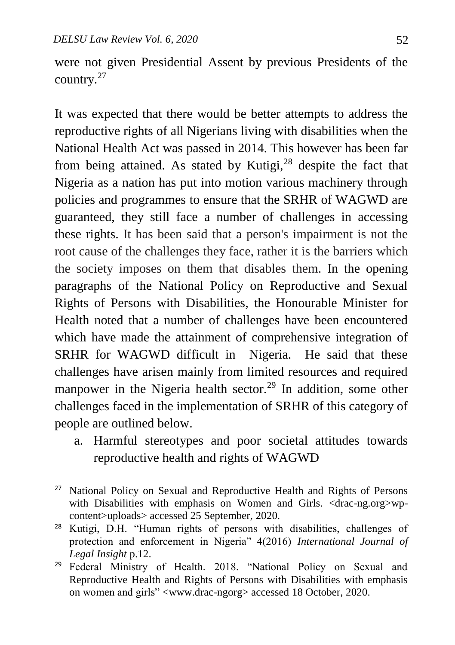$\overline{a}$ 

were not given Presidential Assent by previous Presidents of the country.<sup>27</sup>

It was expected that there would be better attempts to address the reproductive rights of all Nigerians living with disabilities when the National Health Act was passed in 2014. This however has been far from being attained. As stated by Kutigi, $28$  despite the fact that Nigeria as a nation has put into motion various machinery through policies and programmes to ensure that the SRHR of WAGWD are guaranteed, they still face a number of challenges in accessing these rights. It has been said that a person's impairment is not the root cause of the challenges they face, rather it is the barriers which the society imposes on them that disables them. In the opening paragraphs of the National Policy on Reproductive and Sexual Rights of Persons with Disabilities, the Honourable Minister for Health noted that a number of challenges have been encountered which have made the attainment of comprehensive integration of SRHR for WAGWD difficult in Nigeria. He said that these challenges have arisen mainly from limited resources and required manpower in the Nigeria health sector.<sup>29</sup> In addition, some other challenges faced in the implementation of SRHR of this category of people are outlined below.

a. Harmful stereotypes and poor societal attitudes towards reproductive health and rights of WAGWD

<sup>&</sup>lt;sup>27</sup> National Policy on Sexual and Reproductive Health and Rights of Persons with Disabilities with emphasis on Women and Girls. <drac-ng.org>wpcontent>uploads> accessed 25 September, 2020.

<sup>28</sup> Kutigi, D.H. "Human rights of persons with disabilities, challenges of protection and enforcement in Nigeria" 4(2016) *International Journal of Legal Insight* p.12.

<sup>&</sup>lt;sup>29</sup> Federal Ministry of Health. 2018. "National Policy on Sexual and Reproductive Health and Rights of Persons with Disabilities with emphasis on women and girls" [<www.drac-ngorg>](http://www.drac-ngorg/) accessed 18 October, 2020.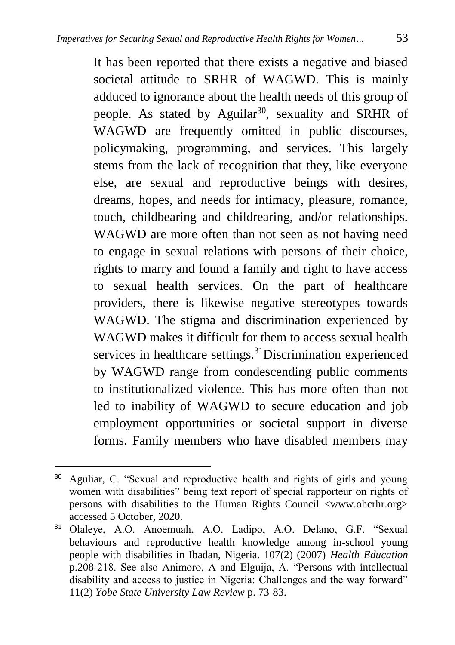It has been reported that there exists a negative and biased societal attitude to SRHR of WAGWD. This is mainly adduced to ignorance about the health needs of this group of people. As stated by Aguilar<sup>30</sup>, sexuality and SRHR of WAGWD are frequently omitted in public discourses, policymaking, programming, and services. This largely stems from the lack of recognition that they, like everyone else, are sexual and reproductive beings with desires, dreams, hopes, and needs for intimacy, pleasure, romance, touch, childbearing and childrearing, and/or relationships. WAGWD are more often than not seen as not having need to engage in sexual relations with persons of their choice, rights to marry and found a family and right to have access to sexual health services. On the part of healthcare providers, there is likewise negative stereotypes towards WAGWD. The stigma and discrimination experienced by WAGWD makes it difficult for them to access sexual health services in healthcare settings.<sup>31</sup>Discrimination experienced by WAGWD range from condescending public comments to institutionalized violence. This has more often than not led to inability of WAGWD to secure education and job employment opportunities or societal support in diverse forms. Family members who have disabled members may

<sup>30</sup> Aguliar, C. "Sexual and reproductive health and rights of girls and young women with disabilities" being text report of special rapporteur on rights of persons with disabilities to the Human Rights Council <www.ohcrhr.org> accessed 5 October, 2020.

<sup>31</sup> Olaleye, A.O. Anoemuah, A.O. Ladipo, A.O. Delano, G.F. "Sexual behaviours and reproductive health knowledge among in-school young people with disabilities in Ibadan, Nigeria. 107(2) (2007) *Health Education*  p.208-218. See also Animoro, A and Elguija, A. "Persons with intellectual disability and access to justice in Nigeria: Challenges and the way forward" 11(2) *Yobe State University Law Review* p. 73-83.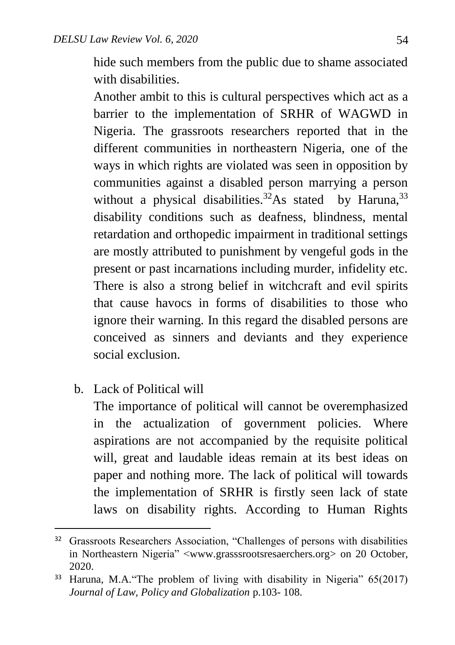hide such members from the public due to shame associated with disabilities.

Another ambit to this is cultural perspectives which act as a barrier to the implementation of SRHR of WAGWD in Nigeria. The grassroots researchers reported that in the different communities in northeastern Nigeria, one of the ways in which rights are violated was seen in opposition by communities against a disabled person marrying a person without a physical disabilities.<sup>32</sup>As stated by Haruna,  $33$ disability conditions such as deafness, blindness, mental retardation and orthopedic impairment in traditional settings are mostly attributed to punishment by vengeful gods in the present or past incarnations including murder, infidelity etc. There is also a strong belief in witchcraft and evil spirits that cause havocs in forms of disabilities to those who ignore their warning. In this regard the disabled persons are conceived as sinners and deviants and they experience social exclusion.

b. Lack of Political will

 $\ddot{\phantom{a}}$ 

The importance of political will cannot be overemphasized in the actualization of government policies. Where aspirations are not accompanied by the requisite political will, great and laudable ideas remain at its best ideas on paper and nothing more. The lack of political will towards the implementation of SRHR is firstly seen lack of state laws on disability rights. According to Human Rights

<sup>&</sup>lt;sup>32</sup> Grassroots Researchers Association, "Challenges of persons with disabilities in Northeastern Nigeria" <www.grasssrootsresaerchers.org> on 20 October, 2020.

<sup>33</sup> Haruna, M.A."The problem of living with disability in Nigeria" 65(2017) *Journal of Law, Policy and Globalization* p.103- 108.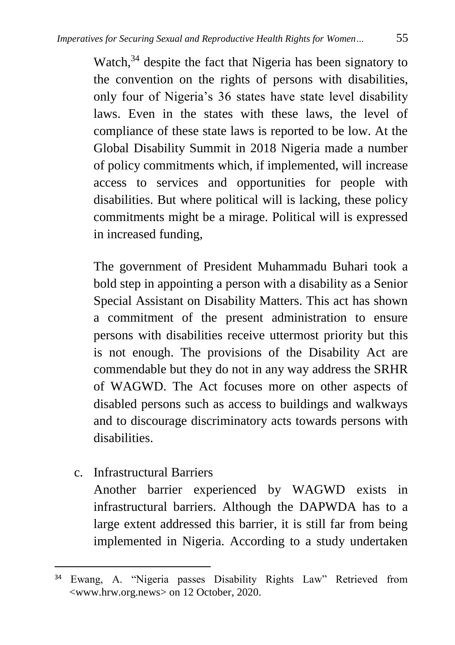Watch, $34$  despite the fact that Nigeria has been signatory to the convention on the rights of persons with disabilities, only four of Nigeria's 36 states have state level disability laws. Even in the states with these laws, the level of compliance of these state laws is reported to be low. At the Global Disability Summit in 2018 Nigeria made a number of policy commitments which, if implemented, will increase access to services and opportunities for people with disabilities. But where political will is lacking, these policy commitments might be a mirage. Political will is expressed in increased funding,

The government of President Muhammadu Buhari took a bold step in appointing a person with a disability as a Senior Special Assistant on Disability Matters. This act has shown a commitment of the present administration to ensure persons with disabilities receive uttermost priority but this is not enough. The provisions of the Disability Act are commendable but they do not in any way address the SRHR of WAGWD. The Act focuses more on other aspects of disabled persons such as access to buildings and walkways and to discourage discriminatory acts towards persons with disabilities.

c. Infrastructural Barriers

 $\ddot{\phantom{a}}$ 

Another barrier experienced by WAGWD exists in infrastructural barriers. Although the DAPWDA has to a large extent addressed this barrier, it is still far from being implemented in Nigeria. According to a study undertaken

<sup>34</sup> Ewang, A. "Nigeria passes Disability Rights Law" Retrieved from [<www.hrw.org.news>](http://www.hrw.org.news/) on 12 October, 2020.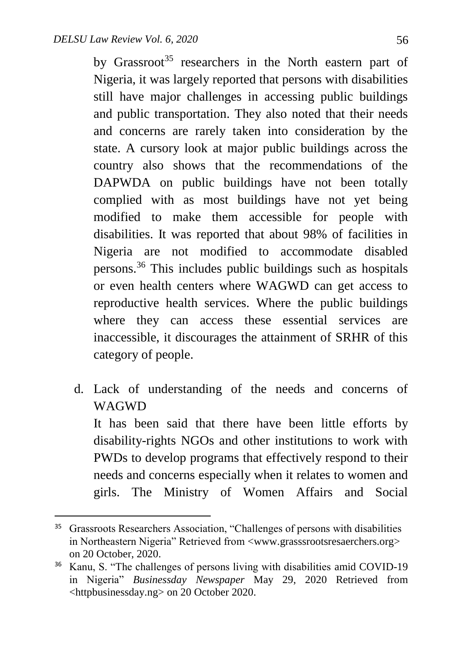1

by Grassroot<sup>35</sup> researchers in the North eastern part of Nigeria, it was largely reported that persons with disabilities still have major challenges in accessing public buildings and public transportation. They also noted that their needs and concerns are rarely taken into consideration by the state. A cursory look at major public buildings across the country also shows that the recommendations of the DAPWDA on public buildings have not been totally complied with as most buildings have not yet being modified to make them accessible for people with disabilities. It was reported that about 98% of facilities in Nigeria are not modified to accommodate disabled persons.<sup>36</sup> This includes public buildings such as hospitals or even health centers where WAGWD can get access to reproductive health services. Where the public buildings where they can access these essential services are inaccessible, it discourages the attainment of SRHR of this category of people.

d. Lack of understanding of the needs and concerns of WAGWD It has been said that there have been little efforts by disability-rights NGOs and other institutions to work with PWDs to develop programs that effectively respond to their needs and concerns especially when it relates to women and girls. The Ministry of Women Affairs and Social

<sup>&</sup>lt;sup>35</sup> Grassroots Researchers Association, "Challenges of persons with disabilities in Northeastern Nigeria" Retrieved from [<www.grasssrootsresaerchers.org>](http://www.grasssrootsresaerchers.org/) on 20 October, 2020.

<sup>&</sup>lt;sup>36</sup> Kanu, S. "The challenges of persons living with disabilities amid COVID-19 in Nigeria" *Businessday Newspaper* May 29, 2020 Retrieved from <httpbusinessday.ng> on 20 October 2020.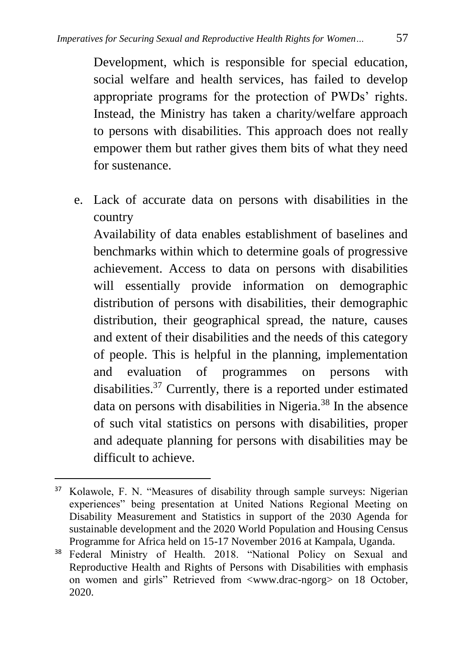Development, which is responsible for special education, social welfare and health services, has failed to develop appropriate programs for the protection of PWDs' rights. Instead, the Ministry has taken a charity/welfare approach to persons with disabilities. This approach does not really empower them but rather gives them bits of what they need for sustenance.

e. Lack of accurate data on persons with disabilities in the country

Availability of data enables establishment of baselines and benchmarks within which to determine goals of progressive achievement. Access to data on persons with disabilities will essentially provide information on demographic distribution of persons with disabilities, their demographic distribution, their geographical spread, the nature, causes and extent of their disabilities and the needs of this category of people. This is helpful in the planning, implementation and evaluation of programmes on persons with disabilities.<sup>37</sup> Currently, there is a reported under estimated data on persons with disabilities in Nigeria.<sup>38</sup> In the absence of such vital statistics on persons with disabilities, proper and adequate planning for persons with disabilities may be difficult to achieve.

<sup>37</sup> Kolawole, F. N. "Measures of disability through sample surveys: Nigerian experiences" being presentation at United Nations Regional Meeting on Disability Measurement and Statistics in support of the 2030 Agenda for sustainable development and the 2020 World Population and Housing Census Programme for Africa held on 15-17 November 2016 at Kampala, Uganda.

<sup>38</sup> Federal Ministry of Health. 2018. "National Policy on Sexual and Reproductive Health and Rights of Persons with Disabilities with emphasis on women and girls" Retrieved from [<www.drac-ngorg>](http://www.drac-ngorg/) on 18 October, 2020.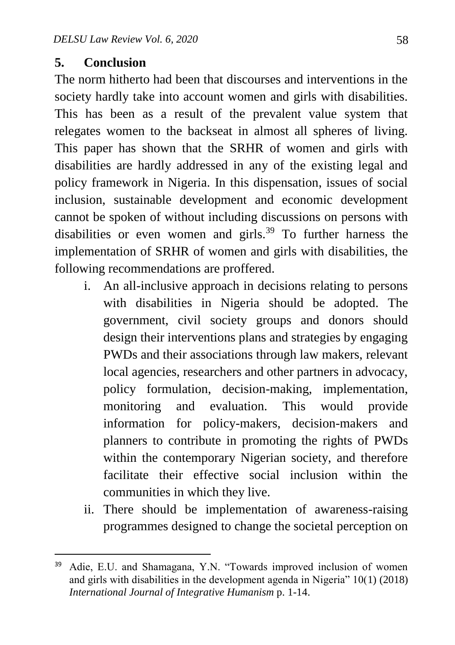#### **5. Conclusion**

 $\overline{a}$ 

The norm hitherto had been that discourses and interventions in the society hardly take into account women and girls with disabilities. This has been as a result of the prevalent value system that relegates women to the backseat in almost all spheres of living. This paper has shown that the SRHR of women and girls with disabilities are hardly addressed in any of the existing legal and policy framework in Nigeria. In this dispensation, issues of social inclusion, sustainable development and economic development cannot be spoken of without including discussions on persons with disabilities or even women and girls.<sup>39</sup> To further harness the implementation of SRHR of women and girls with disabilities, the following recommendations are proffered.

- i. An all-inclusive approach in decisions relating to persons with disabilities in Nigeria should be adopted. The government, civil society groups and donors should design their interventions plans and strategies by engaging PWDs and their associations through law makers, relevant local agencies, researchers and other partners in advocacy, policy formulation, decision-making, implementation, monitoring and evaluation. This would provide information for policy-makers, decision-makers and planners to contribute in promoting the rights of PWDs within the contemporary Nigerian society, and therefore facilitate their effective social inclusion within the communities in which they live.
- ii. There should be implementation of awareness-raising programmes designed to change the societal perception on

<sup>&</sup>lt;sup>39</sup> Adie, E.U. and Shamagana, Y.N. "Towards improved inclusion of women and girls with disabilities in the development agenda in Nigeria" 10(1) (2018) *International Journal of Integrative Humanism* p. 1-14.